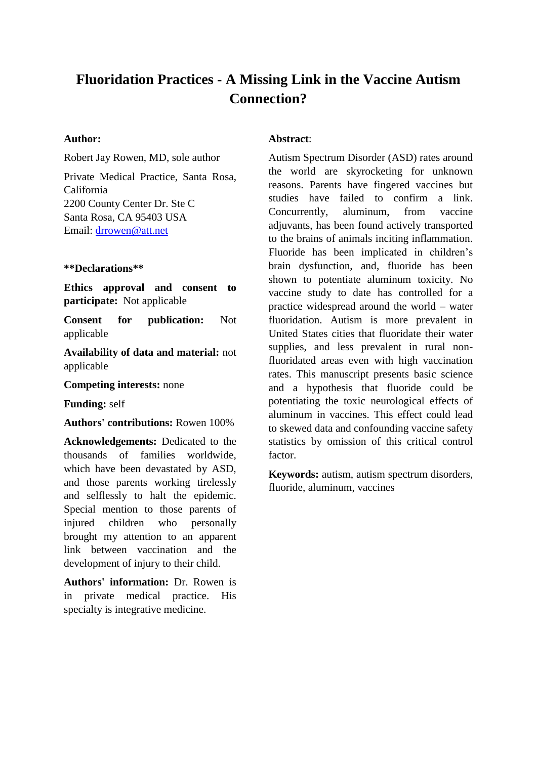# **Fluoridation Practices - A Missing Link in the Vaccine Autism Connection?**

#### **Author:**

Robert Jay Rowen, MD, sole author

Private Medical Practice, Santa Rosa, California 2200 County Center Dr. Ste C Santa Rosa, CA 95403 USA Email: [drrowen@att.net](mailto:drrowen@att.net)

#### **\*\*Declarations\*\***

**Ethics approval and consent to participate:** Not applicable

**Consent for publication:** Not applicable

**Availability of data and material:** not applicable

**Competing interests:** none

**Funding:** self

**Authors' contributions:** Rowen 100%

**Acknowledgements:** Dedicated to the thousands of families worldwide, which have been devastated by ASD, and those parents working tirelessly and selflessly to halt the epidemic. Special mention to those parents of injured children who personally brought my attention to an apparent link between vaccination and the development of injury to their child.

**Authors' information:** Dr. Rowen is in private medical practice. His specialty is integrative medicine.

#### **Abstract**:

Autism Spectrum Disorder (ASD) rates around the world are skyrocketing for unknown reasons. Parents have fingered vaccines but studies have failed to confirm a link. Concurrently, aluminum, from vaccine adjuvants, has been found actively transported to the brains of animals inciting inflammation. Fluoride has been implicated in children's brain dysfunction, and, fluoride has been shown to potentiate aluminum toxicity. No vaccine study to date has controlled for a practice widespread around the world – water fluoridation. Autism is more prevalent in United States cities that fluoridate their water supplies, and less prevalent in rural nonfluoridated areas even with high vaccination rates. This manuscript presents basic science and a hypothesis that fluoride could be potentiating the toxic neurological effects of aluminum in vaccines. This effect could lead to skewed data and confounding vaccine safety statistics by omission of this critical control factor.

**Keywords:** autism, autism spectrum disorders, fluoride, aluminum, vaccines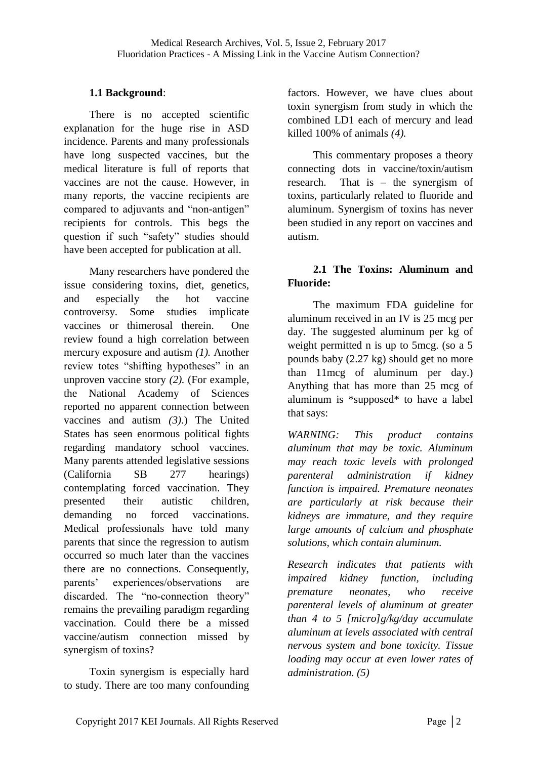## **1.1 Background**:

There is no accepted scientific explanation for the huge rise in ASD incidence. Parents and many professionals have long suspected vaccines, but the medical literature is full of reports that vaccines are not the cause. However, in many reports, the vaccine recipients are compared to adjuvants and "non-antigen" recipients for controls. This begs the question if such "safety" studies should have been accepted for publication at all.

Many researchers have pondered the issue considering toxins, diet, genetics, and especially the hot vaccine controversy. Some studies implicate vaccines or thimerosal therein. One review found a high correlation between mercury exposure and autism *(1).* Another review totes "shifting hypotheses" in an unproven vaccine story *(2).* (For example, the National Academy of Sciences reported no apparent connection between vaccines and autism *(3)*.) The United States has seen enormous political fights regarding mandatory school vaccines. Many parents attended legislative sessions (California SB 277 hearings) contemplating forced vaccination. They presented their autistic children, demanding no forced vaccinations. Medical professionals have told many parents that since the regression to autism occurred so much later than the vaccines there are no connections. Consequently, parents' experiences/observations are discarded. The "no-connection theory" remains the prevailing paradigm regarding vaccination. Could there be a missed vaccine/autism connection missed by synergism of toxins?

Toxin synergism is especially hard to study. There are too many confounding

factors. However, we have clues about toxin synergism from study in which the combined LD1 each of mercury and lead killed 100% of animals *(4).*

This commentary proposes a theory connecting dots in vaccine/toxin/autism research. That is – the synergism of toxins, particularly related to fluoride and aluminum. Synergism of toxins has never been studied in any report on vaccines and autism.

## **2.1 The Toxins: Aluminum and Fluoride:**

The maximum FDA guideline for aluminum received in an IV is 25 mcg per day. The suggested aluminum per kg of weight permitted n is up to 5mcg. (so a 5 pounds baby (2.27 kg) should get no more than 11mcg of aluminum per day.) Anything that has more than 25 mcg of aluminum is \*supposed\* to have a label that says:

*WARNING: This product contains aluminum that may be toxic. Aluminum may reach toxic levels with prolonged parenteral administration if kidney function is impaired. Premature neonates are particularly at risk because their kidneys are immature, and they require large amounts of calcium and phosphate solutions, which contain aluminum.*

*Research indicates that patients with impaired kidney function, including premature neonates, who receive parenteral levels of aluminum at greater than 4 to 5 [micro]g/kg/day accumulate aluminum at levels associated with central nervous system and bone toxicity. Tissue loading may occur at even lower rates of administration. (5)*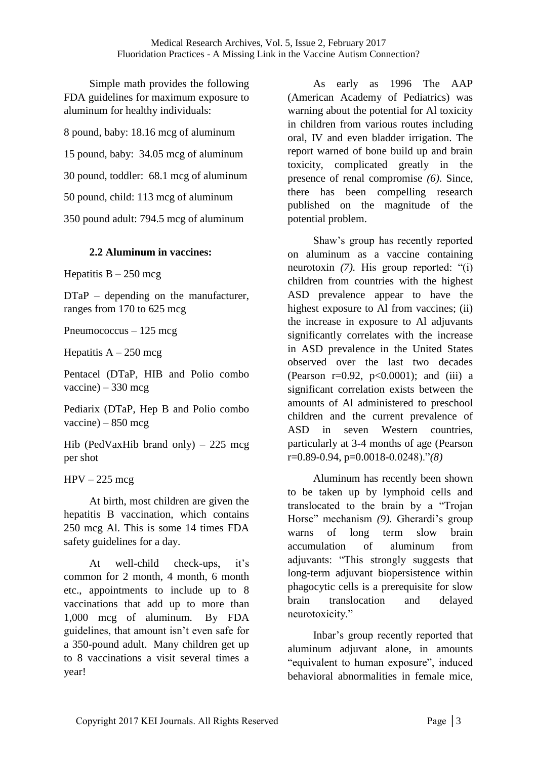Simple math provides the following FDA guidelines for maximum exposure to aluminum for healthy individuals:

8 pound, baby: 18.16 mcg of aluminum

15 pound, baby: 34.05 mcg of aluminum

30 pound, toddler: 68.1 mcg of aluminum

50 pound, child: 113 mcg of aluminum

350 pound adult: 794.5 mcg of aluminum

### **2.2 Aluminum in vaccines:**

Hepatitis  $B - 250$  mcg

DTaP – depending on the manufacturer. ranges from 170 to 625 mcg

Pneumococcus – 125 mcg

Hepatitis  $A - 250$  mcg

Pentacel (DTaP, HIB and Polio combo  $vacine$ ) – 330 mcg

Pediarix (DTaP, Hep B and Polio combo vaccine) –  $850$  mcg

Hib (PedVaxHib brand only) – 225 mcg per shot

 $HPV - 225$  mcg

At birth, most children are given the hepatitis B vaccination, which contains 250 mcg Al. This is some 14 times FDA safety guidelines for a day.

At well-child check-ups, it's common for 2 month, 4 month, 6 month etc., appointments to include up to 8 vaccinations that add up to more than 1,000 mcg of aluminum. By FDA guidelines, that amount isn't even safe for a 350-pound adult. Many children get up to 8 vaccinations a visit several times a year!

As early as 1996 The AAP (American Academy of Pediatrics) was warning about the potential for Al toxicity in children from various routes including oral, IV and even bladder irrigation. The report warned of bone build up and brain toxicity, complicated greatly in the presence of renal compromise *(6)*. Since, there has been compelling research published on the magnitude of the potential problem.

Shaw's group has recently reported on aluminum as a vaccine containing neurotoxin *(7).* His group reported: "(i) children from countries with the highest ASD prevalence appear to have the highest exposure to Al from vaccines; (ii) the increase in exposure to Al adjuvants significantly correlates with the increase in ASD prevalence in the United States observed over the last two decades (Pearson  $r=0.92$ ,  $p<0.0001$ ); and (iii) a significant correlation exists between the amounts of Al administered to preschool children and the current prevalence of ASD in seven Western countries, particularly at 3-4 months of age (Pearson r=0.89-0.94, p=0.0018-0.0248)."*(8)* 

Aluminum has recently been shown to be taken up by lymphoid cells and translocated to the brain by a "Trojan Horse" mechanism *(9).* Gherardi's group warns of long term slow brain accumulation of aluminum from adjuvants: "This strongly suggests that long-term adjuvant biopersistence within phagocytic cells is a prerequisite for slow brain translocation and delayed neurotoxicity."

Inbar's group recently reported that aluminum adjuvant alone, in amounts "equivalent to human exposure", induced behavioral abnormalities in female mice,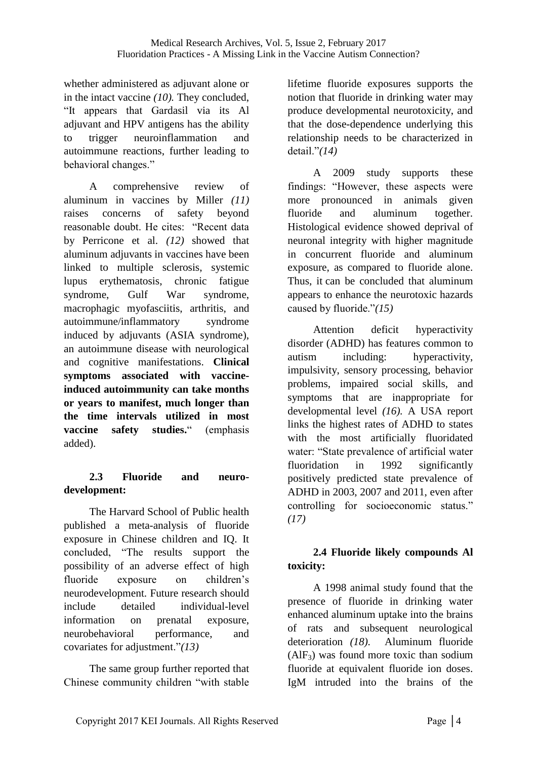whether administered as adjuvant alone or in the intact vaccine *(10).* They concluded, "It appears that Gardasil via its Al adjuvant and HPV antigens has the ability to trigger neuroinflammation and autoimmune reactions, further leading to behavioral changes."

A comprehensive review of aluminum in vaccines by Miller *(11)* raises concerns of safety beyond reasonable doubt. He cites: "Recent data by Perricone et al. *(12)* showed that aluminum adjuvants in vaccines have been linked to multiple sclerosis, systemic lupus erythematosis, chronic fatigue syndrome, Gulf War syndrome, macrophagic myofasciitis, arthritis, and autoimmune/inflammatory syndrome induced by adjuvants (ASIA syndrome), an autoimmune disease with neurological and cognitive manifestations. **Clinical symptoms associated with vaccineinduced autoimmunity can take months or years to manifest, much longer than the time intervals utilized in most vaccine safety studies.**" (emphasis added).

## **2.3 Fluoride and neurodevelopment:**

The Harvard School of Public health published a meta-analysis of fluoride exposure in Chinese children and IQ. It concluded, "The results support the possibility of an adverse effect of high fluoride exposure on children's neurodevelopment. Future research should include detailed individual-level information on prenatal exposure, neurobehavioral performance, and covariates for adjustment."*(13)* 

The same group further reported that Chinese community children "with stable

lifetime fluoride exposures supports the notion that fluoride in drinking water may produce developmental neurotoxicity, and that the dose-dependence underlying this relationship needs to be characterized in detail."*(14)*

A 2009 study supports these findings: "However, these aspects were more pronounced in animals given fluoride and aluminum together. Histological evidence showed deprival of neuronal integrity with higher magnitude in concurrent fluoride and aluminum exposure, as compared to fluoride alone. Thus, it can be concluded that aluminum appears to enhance the neurotoxic hazards caused by fluoride."*(15)*

Attention deficit hyperactivity disorder (ADHD) has features common to autism including: hyperactivity, impulsivity, sensory processing, behavior problems, impaired social skills, and symptoms that are inappropriate for developmental level *(16).* A USA report links the highest rates of ADHD to states with the most artificially fluoridated water: "State prevalence of artificial water fluoridation in 1992 significantly positively predicted state prevalence of ADHD in 2003, 2007 and 2011, even after controlling for socioeconomic status." *(17)*

## **2.4 Fluoride likely compounds Al toxicity:**

A 1998 animal study found that the presence of fluoride in drinking water enhanced aluminum uptake into the brains of rats and subsequent neurological deterioration *(18).* Aluminum fluoride  $(AIF_3)$  was found more toxic than sodium fluoride at equivalent fluoride ion doses. IgM intruded into the brains of the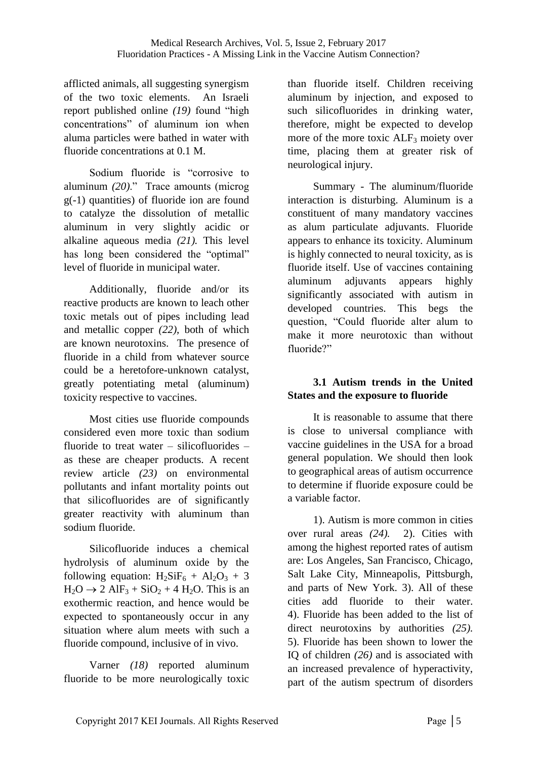afflicted animals, all suggesting synergism of the two toxic elements. An Israeli report published online *(19)* found "high concentrations" of aluminum ion when aluma particles were bathed in water with fluoride concentrations at 0.1 M.

Sodium fluoride is "corrosive to aluminum *(20)*." Trace amounts (microg g(-1) quantities) of fluoride ion are found to catalyze the dissolution of metallic aluminum in very slightly acidic or alkaline aqueous media *(21).* This level has long been considered the "optimal" level of fluoride in municipal water.

Additionally, fluoride and/or its reactive products are known to leach other toxic metals out of pipes including lead and metallic copper *(22)*, both of which are known neurotoxins. The presence of fluoride in a child from whatever source could be a heretofore-unknown catalyst, greatly potentiating metal (aluminum) toxicity respective to vaccines.

Most cities use fluoride compounds considered even more toxic than sodium fluoride to treat water – silicofluorides – as these are cheaper products. A recent review article *(23)* on environmental pollutants and infant mortality points out that silicofluorides are of significantly greater reactivity with aluminum than sodium fluoride.

Silicofluoride induces a chemical hydrolysis of aluminum oxide by the following equation:  $H_2SiF_6 + Al_2O_3 + 3$  $H_2O \rightarrow 2$  AlF<sub>3</sub> + SiO<sub>2</sub> + 4 H<sub>2</sub>O. This is an exothermic reaction, and hence would be expected to spontaneously occur in any situation where alum meets with such a fluoride compound, inclusive of in vivo.

Varner *(18)* reported aluminum fluoride to be more neurologically toxic

than fluoride itself. Children receiving aluminum by injection, and exposed to such silicofluorides in drinking water, therefore, might be expected to develop more of the more toxic ALF<sub>3</sub> moiety over time, placing them at greater risk of neurological injury.

Summary - The aluminum/fluoride interaction is disturbing. Aluminum is a constituent of many mandatory vaccines as alum particulate adjuvants. Fluoride appears to enhance its toxicity. Aluminum is highly connected to neural toxicity, as is fluoride itself. Use of vaccines containing aluminum adjuvants appears highly significantly associated with autism in developed countries. This begs the question, "Could fluoride alter alum to make it more neurotoxic than without fluoride?"

## **3.1 Autism trends in the United States and the exposure to fluoride**

It is reasonable to assume that there is close to universal compliance with vaccine guidelines in the USA for a broad general population. We should then look to geographical areas of autism occurrence to determine if fluoride exposure could be a variable factor.

1). Autism is more common in cities over rural areas *(24).* 2). Cities with among the highest reported rates of autism are: Los Angeles, San Francisco, Chicago, Salt Lake City, Minneapolis, Pittsburgh, and parts of New York. 3). All of these cities add fluoride to their water. 4). Fluoride has been added to the list of direct neurotoxins by authorities *(25).* 5). Fluoride has been shown to lower the IQ of children *(26)* and is associated with an increased prevalence of hyperactivity, part of the autism spectrum of disorders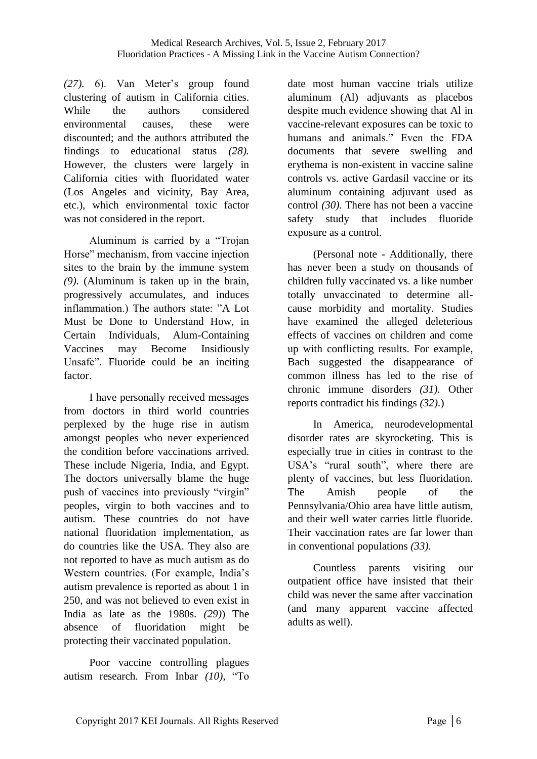*(27).* 6). Van Meter's group found clustering of autism in California cities. While the authors considered environmental causes, these were discounted; and the authors attributed the findings to educational status *(28).*  However, the clusters were largely in California cities with fluoridated water (Los Angeles and vicinity, Bay Area, etc.), which environmental toxic factor was not considered in the report.

Aluminum is carried by a "Trojan Horse" mechanism, from vaccine injection sites to the brain by the immune system *(9).* (Aluminum is taken up in the brain, progressively accumulates, and induces inflammation.) The authors state: "A Lot Must be Done to Understand How, in Certain Individuals, Alum-Containing Vaccines may Become Insidiously Unsafe". Fluoride could be an inciting factor.

I have personally received messages from doctors in third world countries perplexed by the huge rise in autism amongst peoples who never experienced the condition before vaccinations arrived. These include Nigeria, India, and Egypt. The doctors universally blame the huge push of vaccines into previously "virgin" peoples, virgin to both vaccines and to autism. These countries do not have national fluoridation implementation, as do countries like the USA. They also are not reported to have as much autism as do Western countries. (For example, India's autism prevalence is reported as about 1 in 250, and was not believed to even exist in India as late as the 1980s. *(29)*) The absence of fluoridation might be protecting their vaccinated population.

Poor vaccine controlling plagues autism research. From Inbar *(10),* "To date most human vaccine trials utilize aluminum (Al) adjuvants as placebos despite much evidence showing that Al in vaccine-relevant exposures can be toxic to humans and animals." Even the FDA documents that severe swelling and erythema is non-existent in vaccine saline controls vs. active Gardasil vaccine or its aluminum containing adjuvant used as control *(30).* There has not been a vaccine safety study that includes fluoride exposure as a control.

(Personal note - Additionally, there has never been a study on thousands of children fully vaccinated vs. a like number totally unvaccinated to determine allcause morbidity and mortality. Studies have examined the alleged deleterious effects of vaccines on children and come up with conflicting results. For example, Bach suggested the disappearance of common illness has led to the rise of chronic immune disorders *(31).* Other reports contradict his findings *(32)*.)

In America, neurodevelopmental disorder rates are skyrocketing. This is especially true in cities in contrast to the USA's "rural south", where there are plenty of vaccines, but less fluoridation. The Amish people of the Pennsylvania/Ohio area have little autism, and their well water carries little fluoride. Their vaccination rates are far lower than in conventional populations *(33).*

Countless parents visiting our outpatient office have insisted that their child was never the same after vaccination (and many apparent vaccine affected adults as well).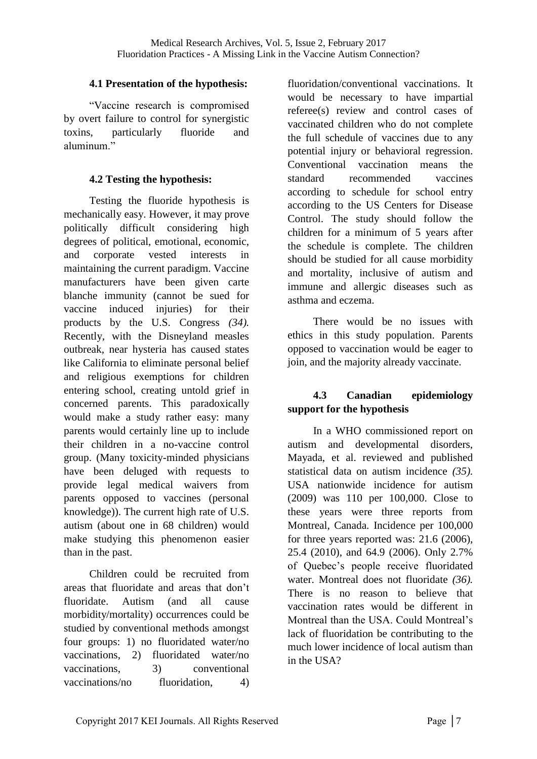### **4.1 Presentation of the hypothesis:**

"Vaccine research is compromised by overt failure to control for synergistic toxins, particularly fluoride and aluminum."

## **4.2 Testing the hypothesis:**

Testing the fluoride hypothesis is mechanically easy. However, it may prove politically difficult considering high degrees of political, emotional, economic, and corporate vested interests in maintaining the current paradigm. Vaccine manufacturers have been given carte blanche immunity (cannot be sued for vaccine induced injuries) for their products by the U.S. Congress *(34).* Recently, with the Disneyland measles outbreak, near hysteria has caused states like California to eliminate personal belief and religious exemptions for children entering school, creating untold grief in concerned parents. This paradoxically would make a study rather easy: many parents would certainly line up to include their children in a no-vaccine control group. (Many toxicity-minded physicians have been deluged with requests to provide legal medical waivers from parents opposed to vaccines (personal knowledge)). The current high rate of U.S. autism (about one in 68 children) would make studying this phenomenon easier than in the past.

Children could be recruited from areas that fluoridate and areas that don't fluoridate. Autism (and all cause morbidity/mortality) occurrences could be studied by conventional methods amongst four groups: 1) no fluoridated water/no vaccinations, 2) fluoridated water/no vaccinations, 3) conventional vaccinations/no fluoridation, 4)

fluoridation/conventional vaccinations. It would be necessary to have impartial referee(s) review and control cases of vaccinated children who do not complete the full schedule of vaccines due to any potential injury or behavioral regression. Conventional vaccination means the standard recommended vaccines according to schedule for school entry according to the US Centers for Disease Control. The study should follow the children for a minimum of 5 years after the schedule is complete. The children should be studied for all cause morbidity and mortality, inclusive of autism and immune and allergic diseases such as asthma and eczema.

There would be no issues with ethics in this study population. Parents opposed to vaccination would be eager to join, and the majority already vaccinate.

## **4.3 Canadian epidemiology support for the hypothesis**

In a WHO commissioned report on autism and developmental disorders, Mayada, et al. reviewed and published statistical data on autism incidence *(35).* USA nationwide incidence for autism (2009) was 110 per 100,000. Close to these years were three reports from Montreal, Canada. Incidence per 100,000 for three years reported was: 21.6 (2006), 25.4 (2010), and 64.9 (2006). Only 2.7% of Quebec's people receive fluoridated water. Montreal does not fluoridate *(36).* There is no reason to believe that vaccination rates would be different in Montreal than the USA. Could Montreal's lack of fluoridation be contributing to the much lower incidence of local autism than in the USA?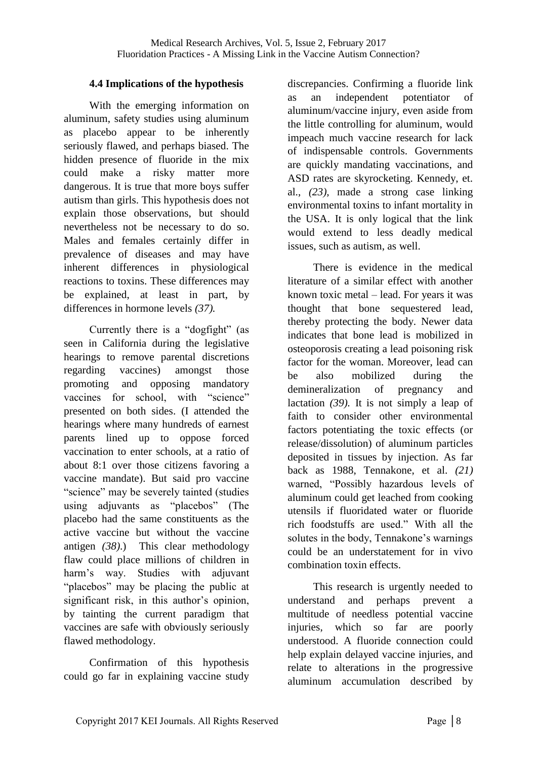### **4.4 Implications of the hypothesis**

With the emerging information on aluminum, safety studies using aluminum as placebo appear to be inherently seriously flawed, and perhaps biased. The hidden presence of fluoride in the mix could make a risky matter more dangerous. It is true that more boys suffer autism than girls. This hypothesis does not explain those observations, but should nevertheless not be necessary to do so. Males and females certainly differ in prevalence of diseases and may have inherent differences in physiological reactions to toxins. These differences may be explained, at least in part, by differences in hormone levels *(37).*

Currently there is a "dogfight" (as seen in California during the legislative hearings to remove parental discretions regarding vaccines) amongst those promoting and opposing mandatory vaccines for school, with "science" presented on both sides. (I attended the hearings where many hundreds of earnest parents lined up to oppose forced vaccination to enter schools, at a ratio of about 8:1 over those citizens favoring a vaccine mandate). But said pro vaccine "science" may be severely tainted (studies using adjuvants as "placebos" (The placebo had the same constituents as the active vaccine but without the vaccine antigen *(38)*.) This clear methodology flaw could place millions of children in harm's way. Studies with adjuvant "placebos" may be placing the public at significant risk, in this author's opinion, by tainting the current paradigm that vaccines are safe with obviously seriously flawed methodology.

Confirmation of this hypothesis could go far in explaining vaccine study discrepancies. Confirming a fluoride link as an independent potentiator of aluminum/vaccine injury, even aside from the little controlling for aluminum, would impeach much vaccine research for lack of indispensable controls. Governments are quickly mandating vaccinations, and ASD rates are skyrocketing. Kennedy, et. al., *(23),* made a strong case linking environmental toxins to infant mortality in the USA. It is only logical that the link would extend to less deadly medical issues, such as autism, as well.

There is evidence in the medical literature of a similar effect with another known toxic metal – lead. For years it was thought that bone sequestered lead, thereby protecting the body. Newer data indicates that bone lead is mobilized in osteoporosis creating a lead poisoning risk factor for the woman. Moreover, lead can be also mobilized during the demineralization of pregnancy and lactation *(39).* It is not simply a leap of faith to consider other environmental factors potentiating the toxic effects (or release/dissolution) of aluminum particles deposited in tissues by injection. As far back as 1988, Tennakone, et al. *(21)* warned, "Possibly hazardous levels of aluminum could get leached from cooking utensils if fluoridated water or fluoride rich foodstuffs are used." With all the solutes in the body, Tennakone's warnings could be an understatement for in vivo combination toxin effects.

This research is urgently needed to understand and perhaps prevent a multitude of needless potential vaccine injuries, which so far are poorly understood. A fluoride connection could help explain delayed vaccine injuries, and relate to alterations in the progressive aluminum accumulation described by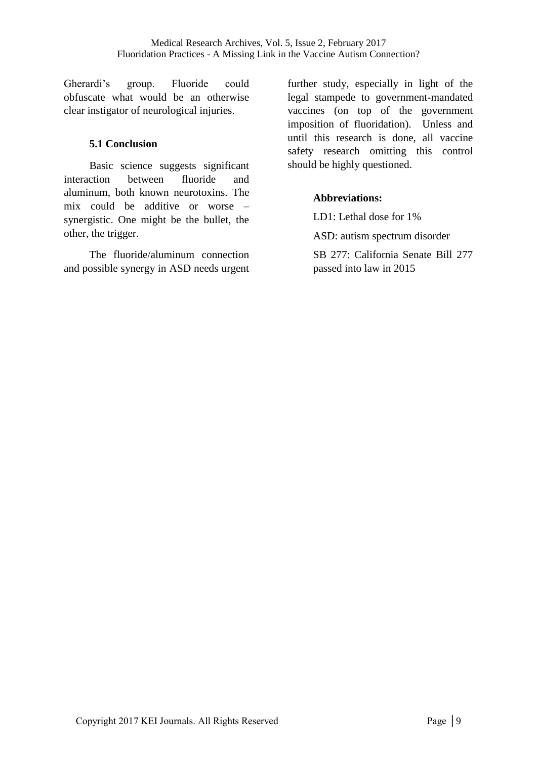Gherardi's group. Fluoride could obfuscate what would be an otherwise clear instigator of neurological injuries.

### **5.1 Conclusion**

Basic science suggests significant interaction between fluoride and aluminum, both known neurotoxins. The mix could be additive or worse – synergistic. One might be the bullet, the other, the trigger.

The fluoride/aluminum connection and possible synergy in ASD needs urgent further study, especially in light of the legal stampede to government-mandated vaccines (on top of the government imposition of fluoridation). Unless and until this research is done, all vaccine safety research omitting this control should be highly questioned.

## **Abbreviations:**

LD1: Lethal dose for 1% ASD: autism spectrum disorder SB 277: California Senate Bill 277 passed into law in 2015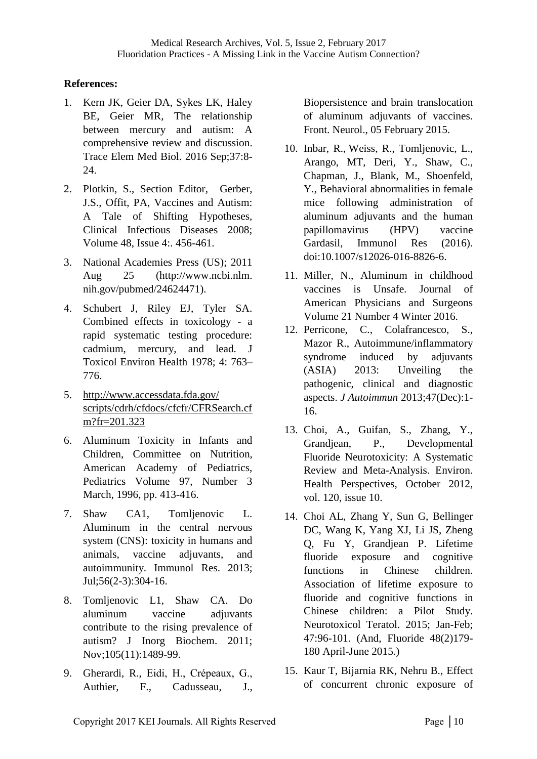### **References:**

- 1. Kern JK, Geier DA, Sykes LK, Haley BE, Geier MR, The relationship between mercury and autism: A comprehensive review and discussion. Trace Elem Med Biol. 2016 Sep;37:8- 24.
- 2. Plotkin, S., Section Editor, [Gerber,](http://cid.oxfordjournals.org/search?author1=Jeffrey+S.+Gerber&sortspec=date&submit=Submit) J.S., [Offit,](http://cid.oxfordjournals.org/search?author1=Paul+A.+Offit&sortspec=date&submit=Submit) PA, Vaccines and Autism: A Tale of Shifting Hypotheses, [Clinical Infectious Diseases](http://cid.oxfordjournals.org/) [2](http://cid.oxfordjournals.org/)008; [Volume 48, Issue 4:](http://cid.oxfordjournals.org/content/48/4.toc). 456-461.
- 3. National Academies Press (US); 2011 Aug 25 (http://www.ncbi.nlm. nih.gov/pubmed/24624471).
- 4. Schubert J, Riley EJ, Tyler SA. Combined effects in toxicology - a rapid systematic testing procedure: cadmium, mercury, and lead. J Toxicol Environ Health 1978; 4: 763– 776.
- 5. [http://www.accessdata.fda.gov/](http://www.accessdata.fda.gov/scripts/cdrh/cfdocs/cfcfr/CFRSearch.cfm?fr=201.323) [scripts/cdrh/cfdocs/cfcfr/CFRSearch.cf](http://www.accessdata.fda.gov/scripts/cdrh/cfdocs/cfcfr/CFRSearch.cfm?fr=201.323) [m?fr=201.323](http://www.accessdata.fda.gov/scripts/cdrh/cfdocs/cfcfr/CFRSearch.cfm?fr=201.323)
- 6. Aluminum Toxicity in Infants and Children, Committee on Nutrition, American Academy of Pediatrics, Pediatrics Volume 97, Number 3 March, 1996, pp. 413-416.
- 7. Shaw CA1, Tomljenovic L. Aluminum in the central nervous system (CNS): toxicity in humans and animals, vaccine adjuvants, and autoimmunity. Immunol Res. 2013; Jul;56(2-3):304-16.
- 8. Tomljenovic L1, Shaw CA. Do aluminum vaccine adjuvants contribute to the rising prevalence of autism? J Inorg Biochem. 2011; Nov;105(11):1489-99.
- 9. [Gherardi, R.,](http://frontiersin.org/people/u/120106) Eidi, H., Crépeaux, G., [Authier,](http://frontiersin.org/people/u/132981) F., [Cadusseau,](http://frontiersin.org/people/u/180891) J.,

Biopersistence and brain translocation of aluminum adjuvants of vaccines. Front. Neurol., 05 February 2015.

- 10. Inbar, R., Weiss, R., Tomljenovic, L., Arango, MT, Deri, Y., Shaw, C., Chapman, J., Blank, M., Shoenfeld, Y., Behavioral abnormalities in female mice following administration of aluminum adjuvants and the human papillomavirus (HPV) vaccine Gardasil, Immunol Res (2016). doi:10.1007/s12026-016-8826-6.
- 11. Miller, N., Aluminum in childhood vaccines is Unsafe. Journal of American Physicians and Surgeons Volume 21 Number 4 Winter 2016.
- 12. Perricone, C., Colafrancesco, S., Mazor R., Autoimmune/inflammatory syndrome induced by adjuvants (ASIA) 2013: Unveiling the pathogenic, clinical and diagnostic aspects. *J Autoimmun* 2013;47(Dec):1- 16.
- 13. Choi, A., Guifan, S., Zhang, Y., Grandjean, P., Developmental Fluoride Neurotoxicity: A Systematic Review and Meta-Analysis. Environ. Health Perspectives, October 2012, vol. 120, issue 10.
- 14. Choi AL, Zhang Y, Sun G, Bellinger DC, Wang K, Yang XJ, Li JS, Zheng Q, Fu Y, Grandjean P. Lifetime fluoride exposure and cognitive functions in Chinese children. Association of lifetime exposure to fluoride and cognitive functions in Chinese children: a Pilot Study. Neurotoxicol Teratol. 2015; Jan-Feb; 47:96-101. (And, Fluoride 48(2)179- 180 April-June 2015.)
- 15. Kaur T, Bijarnia RK, Nehru B., [Effect](http://fluoridealert.org/studytracker/17907/)  [of concurrent chronic exposure of](http://fluoridealert.org/studytracker/17907/)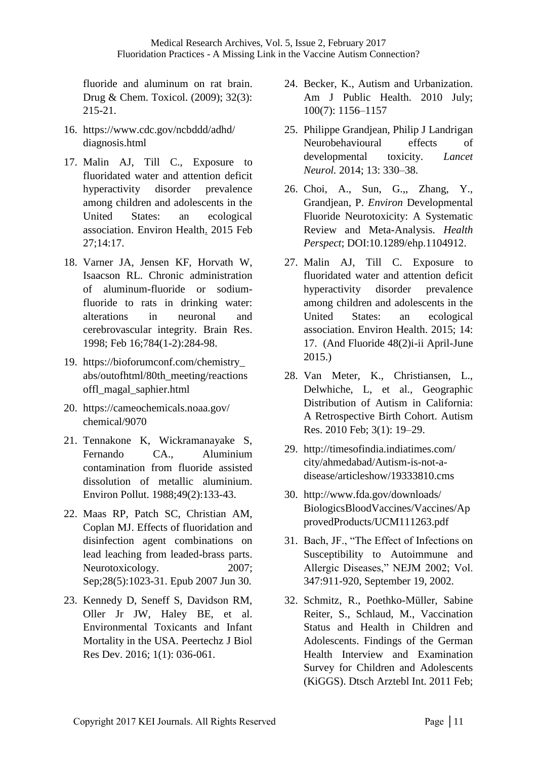fluoride and aluminum on rat brain. Drug & Chem. Toxicol. (2009); 32(3): 215-21.

- 16. https://www.cdc.gov/ncbddd/adhd/ diagnosis.html
- 17. Malin AJ, Till C., Exposure to fluoridated water and attention deficit hyperactivity disorder prevalence among children and adolescents in the United States: an ecological association. Environ Health. 2015 Feb 27;14:17.
- 18. Varner JA, Jensen KF, Horvath W, Isaacson RL. Chronic administration of aluminum-fluoride or sodiumfluoride to rats in drinking water: alterations in neuronal and cerebrovascular integrity. Brain Res. 1998; Feb 16;784(1-2):284-98.
- 19. https://bioforumconf.com/chemistry\_ abs/outofhtml/80th\_meeting/reactions offl\_magal\_saphier.html
- 20. https://cameochemicals.noaa.gov/ chemical/9070
- 21. Tennakone K, Wickramanayake S, Fernando CA., Aluminium contamination from fluoride assisted dissolution of metallic aluminium. Environ Pollut. 1988;49(2):133-43.
- 22. Maas RP, Patch SC, Christian AM, Coplan MJ. Effects of fluoridation and disinfection agent combinations on lead leaching from leaded-brass parts. Neurotoxicology. 2007; Sep;28(5):1023-31. Epub 2007 Jun 30.
- 23. Kennedy D, Seneff S, Davidson RM, Oller Jr JW, Haley BE, et al. Environmental Toxicants and Infant Mortality in the USA. Peertechz J Biol Res Dev. 2016; 1(1): 036-061.
- 24. Becker, K., Autism and Urbanization. Am J Public Health. 2010 July; 100(7): 1156–1157
- 25. Philippe Grandjean, Philip J Landrigan Neurobehavioural effects of developmental toxicity. *Lancet Neurol.* 2014; 13: 330–38.
- 26. Choi, A., Sun, G.,, Zhang, Y., Grandjean, P. *Environ* Developmental Fluoride Neurotoxicity: A Systematic Review and Meta-Analysis. *Health Perspect*; DOI:10.1289/ehp.1104912.
- 27. Malin AJ, Till C. Exposure to fluoridated water and attention deficit hyperactivity disorder prevalence among children and adolescents in the United States: an ecological association. Environ Health. 2015; 14: 17. (And Fluoride 48(2)i-ii April-June 2015.)
- 28. Van Meter, K., Christiansen, L., Delwhiche, L, et al., Geographic Distribution of Autism in California: A Retrospective Birth Cohort. Autism Res. 2010 Feb; 3(1): 19–29.
- 29. http://timesofindia.indiatimes.com/ city/ahmedabad/Autism-is-not-adisease/articleshow/19333810.cms
- 30. http://www.fda.gov/downloads/ BiologicsBloodVaccines/Vaccines/Ap provedProducts/UCM111263.pdf
- 31. Bach, JF., "The Effect of Infections on Susceptibility to Autoimmune and Allergic Diseases," NEJM 2002; Vol. 347:911-920, September 19, 2002.
- 32. Schmitz, R., Poethko-Müller, Sabine Reiter, S., Schlaud, M., Vaccination Status and Health in Children and Adolescents. Findings of the German Health Interview and Examination Survey for Children and Adolescents (KiGGS). Dtsch Arztebl Int. 2011 Feb;